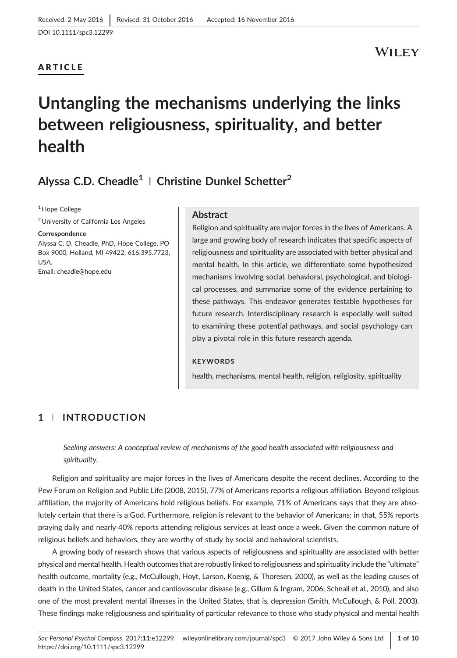### ARTICLE

## WILEY

# Untangling the mechanisms underlying the links between religiousness, spirituality, and better health

# Alyssa C.D. Cheadle<sup>1</sup> | Christine Dunkel Schetter<sup>2</sup>

<sup>1</sup> Hope College

2University of California Los Angeles

Correspondence

Alyssa C. D. Cheadle, PhD, Hope College, PO Box 9000, Holland, MI 49422, 616.395.7723, USA. Email: [cheadle@hope.edu](mailto:cheadle@hope.edu)

#### Abstract

Religion and spirituality are major forces in the lives of Americans. A large and growing body of research indicates that specific aspects of religiousness and spirituality are associated with better physical and mental health. In this article, we differentiate some hypothesized mechanisms involving social, behavioral, psychological, and biological processes, and summarize some of the evidence pertaining to these pathways. This endeavor generates testable hypotheses for future research. Interdisciplinary research is especially well suited to examining these potential pathways, and social psychology can play a pivotal role in this future research agenda.

#### **KEYWORDS**

health, mechanisms, mental health, religion, religiosity, spirituality

### 1 | INTRODUCTION

Seeking answers: A conceptual review of mechanisms of the good health associated with religiousness and spirituality.

Religion and spirituality are major forces in the lives of Americans despite the recent declines. According to the Pew Forum on Religion and Public Life (2008, 2015), 77% of Americans reports a religious affiliation. Beyond religious affiliation, the majority of Americans hold religious beliefs. For example, 71% of Americans says that they are absolutely certain that there is a God. Furthermore, religion is relevant to the behavior of Americans; in that, 55% reports praying daily and nearly 40% reports attending religious services at least once a week. Given the common nature of religious beliefs and behaviors, they are worthy of study by social and behavioral scientists.

A growing body of research shows that various aspects of religiousness and spirituality are associated with better physical and mental health. Health outcomes that are robustly linked to religiousness and spirituality include the "ultimate" health outcome, mortality (e.g., McCullough, Hoyt, Larson, Koenig, & Thoresen, 2000), as well as the leading causes of death in the United States, cancer and cardiovascular disease (e.g., Gillum & Ingram, 2006; Schnall et al., 2010), and also one of the most prevalent mental illnesses in the United States, that is, depression (Smith, McCullough, & Poll, 2003). These findings make religiousness and spirituality of particular relevance to those who study physical and mental health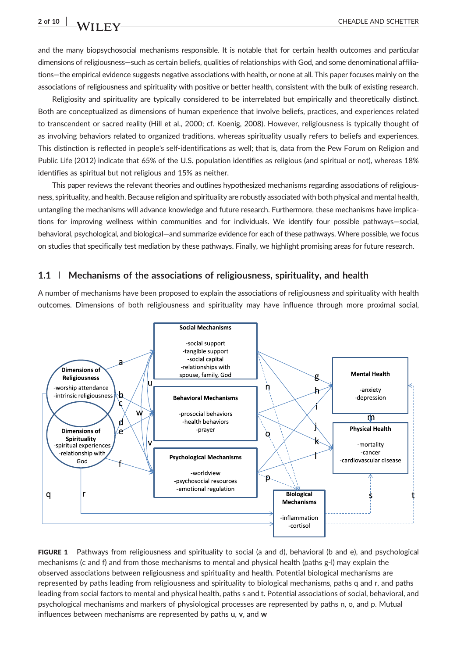and the many biopsychosocial mechanisms responsible. It is notable that for certain health outcomes and particular dimensions of religiousness—such as certain beliefs, qualities of relationships with God, and some denominational affiliations—the empirical evidence suggests negative associations with health, or none at all. This paper focuses mainly on the associations of religiousness and spirituality with positive or better health, consistent with the bulk of existing research.

Religiosity and spirituality are typically considered to be interrelated but empirically and theoretically distinct. Both are conceptualized as dimensions of human experience that involve beliefs, practices, and experiences related to transcendent or sacred reality (Hill et al., 2000; cf. Koenig, 2008). However, religiousness is typically thought of as involving behaviors related to organized traditions, whereas spirituality usually refers to beliefs and experiences. This distinction is reflected in people's self‐identifications as well; that is, data from the Pew Forum on Religion and Public Life (2012) indicate that 65% of the U.S. population identifies as religious (and spiritual or not), whereas 18% identifies as spiritual but not religious and 15% as neither.

This paper reviews the relevant theories and outlines hypothesized mechanisms regarding associations of religiousness, spirituality, and health. Because religion and spirituality are robustly associated with both physical and mental health, untangling the mechanisms will advance knowledge and future research. Furthermore, these mechanisms have implications for improving wellness within communities and for individuals. We identify four possible pathways—social, behavioral, psychological, and biological—and summarize evidence for each of these pathways. Where possible, we focus on studies that specifically test mediation by these pathways. Finally, we highlight promising areas for future research.

#### 1.1 | Mechanisms of the associations of religiousness, spirituality, and health

A number of mechanisms have been proposed to explain the associations of religiousness and spirituality with health outcomes. Dimensions of both religiousness and spirituality may have influence through more proximal social,



FIGURE 1 Pathways from religiousness and spirituality to social (a and d), behavioral (b and e), and psychological mechanisms (c and f) and from those mechanisms to mental and physical health (paths g‐l) may explain the observed associations between religiousness and spirituality and health. Potential biological mechanisms are represented by paths leading from religiousness and spirituality to biological mechanisms, paths q and r, and paths leading from social factors to mental and physical health, paths s and t. Potential associations of social, behavioral, and psychological mechanisms and markers of physiological processes are represented by paths n, o, and p. Mutual influences between mechanisms are represented by paths u, v, and w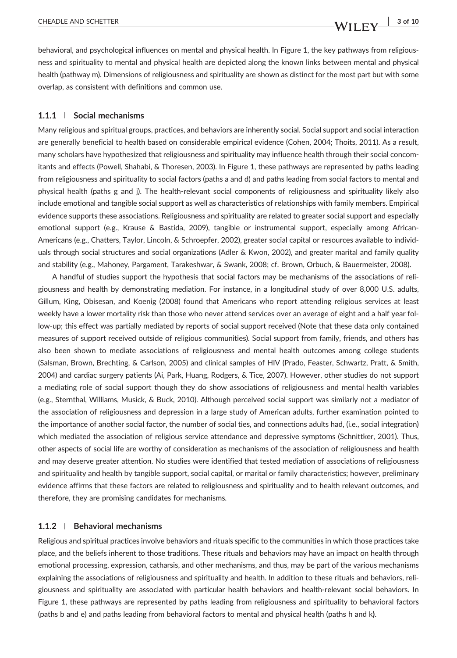behavioral, and psychological influences on mental and physical health. In Figure 1, the key pathways from religiousness and spirituality to mental and physical health are depicted along the known links between mental and physical health (pathway m). Dimensions of religiousness and spirituality are shown as distinct for the most part but with some overlap, as consistent with definitions and common use.

#### 1.1.1 | Social mechanisms

Many religious and spiritual groups, practices, and behaviors are inherently social. Social support and social interaction are generally beneficial to health based on considerable empirical evidence (Cohen, 2004; Thoits, 2011). As a result, many scholars have hypothesized that religiousness and spirituality may influence health through their social concomitants and effects (Powell, Shahabi, & Thoresen, 2003). In Figure 1, these pathways are represented by paths leading from religiousness and spirituality to social factors (paths a and d) and paths leading from social factors to mental and physical health (paths g and j). The health‐relevant social components of religiousness and spirituality likely also include emotional and tangible social support as well as characteristics of relationships with family members. Empirical evidence supports these associations. Religiousness and spirituality are related to greater social support and especially emotional support (e.g., Krause & Bastida, 2009), tangible or instrumental support, especially among African-Americans (e.g., Chatters, Taylor, Lincoln, & Schroepfer, 2002), greater social capital or resources available to individuals through social structures and social organizations (Adler & Kwon, 2002), and greater marital and family quality and stability (e.g., Mahoney, Pargament, Tarakeshwar, & Swank, 2008; cf. Brown, Orbuch, & Bauermeister, 2008).

A handful of studies support the hypothesis that social factors may be mechanisms of the associations of religiousness and health by demonstrating mediation. For instance, in a longitudinal study of over 8,000 U.S. adults, Gillum, King, Obisesan, and Koenig (2008) found that Americans who report attending religious services at least weekly have a lower mortality risk than those who never attend services over an average of eight and a half year follow‐up; this effect was partially mediated by reports of social support received (Note that these data only contained measures of support received outside of religious communities). Social support from family, friends, and others has also been shown to mediate associations of religiousness and mental health outcomes among college students (Salsman, Brown, Brechting, & Carlson, 2005) and clinical samples of HIV (Prado, Feaster, Schwartz, Pratt, & Smith, 2004) and cardiac surgery patients (Ai, Park, Huang, Rodgers, & Tice, 2007). However, other studies do not support a mediating role of social support though they do show associations of religiousness and mental health variables (e.g., Sternthal, Williams, Musick, & Buck, 2010). Although perceived social support was similarly not a mediator of the association of religiousness and depression in a large study of American adults, further examination pointed to the importance of another social factor, the number of social ties, and connections adults had, (i.e., social integration) which mediated the association of religious service attendance and depressive symptoms (Schnittker, 2001). Thus, other aspects of social life are worthy of consideration as mechanisms of the association of religiousness and health and may deserve greater attention. No studies were identified that tested mediation of associations of religiousness and spirituality and health by tangible support, social capital, or marital or family characteristics; however, preliminary evidence affirms that these factors are related to religiousness and spirituality and to health relevant outcomes, and therefore, they are promising candidates for mechanisms.

#### 1.1.2 | Behavioral mechanisms

Religious and spiritual practices involve behaviors and rituals specific to the communities in which those practices take place, and the beliefs inherent to those traditions. These rituals and behaviors may have an impact on health through emotional processing, expression, catharsis, and other mechanisms, and thus, may be part of the various mechanisms explaining the associations of religiousness and spirituality and health. In addition to these rituals and behaviors, religiousness and spirituality are associated with particular health behaviors and health‐relevant social behaviors. In Figure 1, these pathways are represented by paths leading from religiousness and spirituality to behavioral factors (paths b and e) and paths leading from behavioral factors to mental and physical health (paths h and k).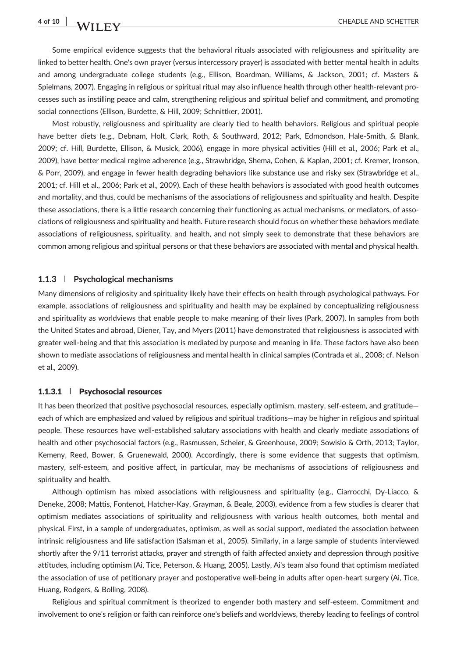# 4 of 10 WII FV CHEADLE AND SCHETTER

Some empirical evidence suggests that the behavioral rituals associated with religiousness and spirituality are linked to better health. One's own prayer (versus intercessory prayer) is associated with better mental health in adults and among undergraduate college students (e.g., Ellison, Boardman, Williams, & Jackson, 2001; cf. Masters & Spielmans, 2007). Engaging in religious or spiritual ritual may also influence health through other health‐relevant processes such as instilling peace and calm, strengthening religious and spiritual belief and commitment, and promoting social connections (Ellison, Burdette, & Hill, 2009; Schnittker, 2001).

Most robustly, religiousness and spirituality are clearly tied to health behaviors. Religious and spiritual people have better diets (e.g., Debnam, Holt, Clark, Roth, & Southward, 2012; Park, Edmondson, Hale‐Smith, & Blank, 2009; cf. Hill, Burdette, Ellison, & Musick, 2006), engage in more physical activities (Hill et al., 2006; Park et al., 2009), have better medical regime adherence (e.g., Strawbridge, Shema, Cohen, & Kaplan, 2001; cf. Kremer, Ironson, & Porr, 2009), and engage in fewer health degrading behaviors like substance use and risky sex (Strawbridge et al., 2001; cf. Hill et al., 2006; Park et al., 2009). Each of these health behaviors is associated with good health outcomes and mortality, and thus, could be mechanisms of the associations of religiousness and spirituality and health. Despite these associations, there is a little research concerning their functioning as actual mechanisms, or mediators, of associations of religiousness and spirituality and health. Future research should focus on whether these behaviors mediate associations of religiousness, spirituality, and health, and not simply seek to demonstrate that these behaviors are common among religious and spiritual persons or that these behaviors are associated with mental and physical health.

#### 1.1.3 | Psychological mechanisms

Many dimensions of religiosity and spirituality likely have their effects on health through psychological pathways. For example, associations of religiousness and spirituality and health may be explained by conceptualizing religiousness and spirituality as worldviews that enable people to make meaning of their lives (Park, 2007). In samples from both the United States and abroad, Diener, Tay, and Myers (2011) have demonstrated that religiousness is associated with greater well-being and that this association is mediated by purpose and meaning in life. These factors have also been shown to mediate associations of religiousness and mental health in clinical samples (Contrada et al., 2008; cf. Nelson et al., 2009).

#### 1.1.3.1 | Psychosocial resources

It has been theorized that positive psychosocial resources, especially optimism, mastery, self-esteem, and gratitudeeach of which are emphasized and valued by religious and spiritual traditions—may be higher in religious and spiritual people. These resources have well‐established salutary associations with health and clearly mediate associations of health and other psychosocial factors (e.g., Rasmussen, Scheier, & Greenhouse, 2009; Sowislo & Orth, 2013; Taylor, Kemeny, Reed, Bower, & Gruenewald, 2000). Accordingly, there is some evidence that suggests that optimism, mastery, self-esteem, and positive affect, in particular, may be mechanisms of associations of religiousness and spirituality and health.

Although optimism has mixed associations with religiousness and spirituality (e.g., Ciarrocchi, Dy‐Liacco, & Deneke, 2008; Mattis, Fontenot, Hatcher‐Kay, Grayman, & Beale, 2003), evidence from a few studies is clearer that optimism mediates associations of spirituality and religiousness with various health outcomes, both mental and physical. First, in a sample of undergraduates, optimism, as well as social support, mediated the association between intrinsic religiousness and life satisfaction (Salsman et al., 2005). Similarly, in a large sample of students interviewed shortly after the 9/11 terrorist attacks, prayer and strength of faith affected anxiety and depression through positive attitudes, including optimism (Ai, Tice, Peterson, & Huang, 2005). Lastly, Ai's team also found that optimism mediated the association of use of petitionary prayer and postoperative well‐being in adults after open‐heart surgery (Ai, Tice, Huang, Rodgers, & Bolling, 2008).

Religious and spiritual commitment is theorized to engender both mastery and self‐esteem. Commitment and involvement to one's religion or faith can reinforce one's beliefs and worldviews, thereby leading to feelings of control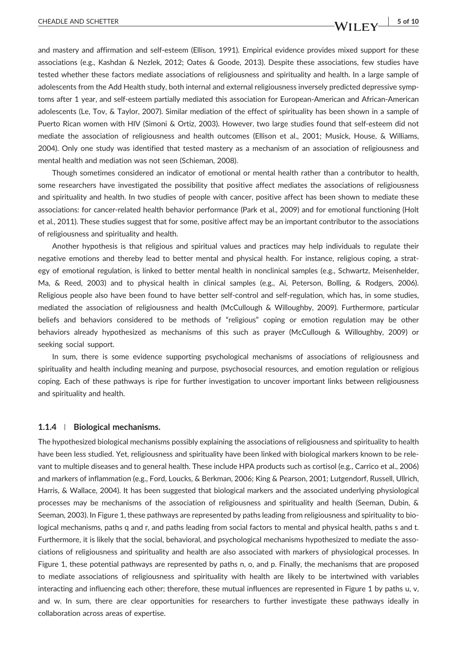and mastery and affirmation and self‐esteem (Ellison, 1991). Empirical evidence provides mixed support for these associations (e.g., Kashdan & Nezlek, 2012; Oates & Goode, 2013). Despite these associations, few studies have tested whether these factors mediate associations of religiousness and spirituality and health. In a large sample of adolescents from the Add Health study, both internal and external religiousness inversely predicted depressive symptoms after 1 year, and self-esteem partially mediated this association for European-American and African-American adolescents (Le, Tov, & Taylor, 2007). Similar mediation of the effect of spirituality has been shown in a sample of Puerto Rican women with HIV (Simoni & Ortiz, 2003). However, two large studies found that self‐esteem did not mediate the association of religiousness and health outcomes (Ellison et al., 2001; Musick, House, & Williams, 2004). Only one study was identified that tested mastery as a mechanism of an association of religiousness and mental health and mediation was not seen (Schieman, 2008).

Though sometimes considered an indicator of emotional or mental health rather than a contributor to health, some researchers have investigated the possibility that positive affect mediates the associations of religiousness and spirituality and health. In two studies of people with cancer, positive affect has been shown to mediate these associations: for cancer‐related health behavior performance (Park et al., 2009) and for emotional functioning (Holt et al., 2011). These studies suggest that for some, positive affect may be an important contributor to the associations of religiousness and spirituality and health.

Another hypothesis is that religious and spiritual values and practices may help individuals to regulate their negative emotions and thereby lead to better mental and physical health. For instance, religious coping, a strategy of emotional regulation, is linked to better mental health in nonclinical samples (e.g., Schwartz, Meisenhelder, Ma, & Reed, 2003) and to physical health in clinical samples (e.g., Ai, Peterson, Bolling, & Rodgers, 2006). Religious people also have been found to have better self-control and self-regulation, which has, in some studies, mediated the association of religiousness and health (McCullough & Willoughby, 2009). Furthermore, particular beliefs and behaviors considered to be methods of "religious" coping or emotion regulation may be other behaviors already hypothesized as mechanisms of this such as prayer (McCullough & Willoughby, 2009) or seeking social support.

In sum, there is some evidence supporting psychological mechanisms of associations of religiousness and spirituality and health including meaning and purpose, psychosocial resources, and emotion regulation or religious coping. Each of these pathways is ripe for further investigation to uncover important links between religiousness and spirituality and health.

#### 1.1.4 | Biological mechanisms.

The hypothesized biological mechanisms possibly explaining the associations of religiousness and spirituality to health have been less studied. Yet, religiousness and spirituality have been linked with biological markers known to be relevant to multiple diseases and to general health. These include HPA products such as cortisol (e.g., Carrico et al., 2006) and markers of inflammation (e.g., Ford, Loucks, & Berkman, 2006; King & Pearson, 2001; Lutgendorf, Russell, Ullrich, Harris, & Wallace, 2004). It has been suggested that biological markers and the associated underlying physiological processes may be mechanisms of the association of religiousness and spirituality and health (Seeman, Dubin, & Seeman, 2003). In Figure 1, these pathways are represented by paths leading from religiousness and spirituality to biological mechanisms, paths q and r, and paths leading from social factors to mental and physical health, paths s and t. Furthermore, it is likely that the social, behavioral, and psychological mechanisms hypothesized to mediate the associations of religiousness and spirituality and health are also associated with markers of physiological processes. In Figure 1, these potential pathways are represented by paths n, o, and p. Finally, the mechanisms that are proposed to mediate associations of religiousness and spirituality with health are likely to be intertwined with variables interacting and influencing each other; therefore, these mutual influences are represented in Figure 1 by paths u, v, and w. In sum, there are clear opportunities for researchers to further investigate these pathways ideally in collaboration across areas of expertise.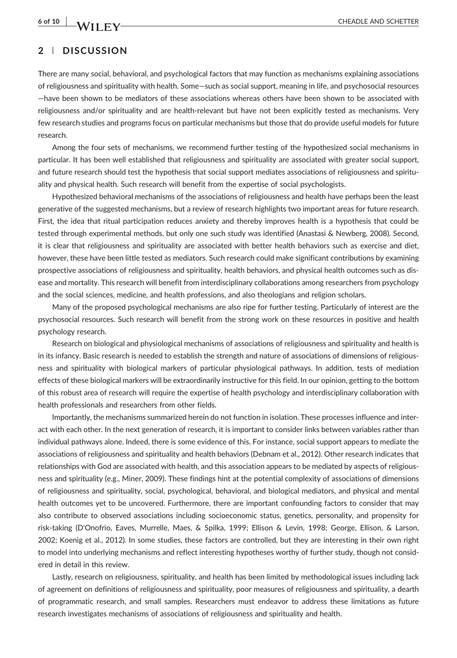6 of 10 WII FV——————————————————————————CHEADLE AND SCHETTER

### 2 | DISCUSSION

There are many social, behavioral, and psychological factors that may function as mechanisms explaining associations of religiousness and spirituality with health. Some—such as social support, meaning in life, and psychosocial resources —have been shown to be mediators of these associations whereas others have been shown to be associated with religiousness and/or spirituality and are health‐relevant but have not been explicitly tested as mechanisms. Very few research studies and programs focus on particular mechanisms but those that do provide useful models for future research.

Among the four sets of mechanisms, we recommend further testing of the hypothesized social mechanisms in particular. It has been well established that religiousness and spirituality are associated with greater social support, and future research should test the hypothesis that social support mediates associations of religiousness and spirituality and physical health. Such research will benefit from the expertise of social psychologists.

Hypothesized behavioral mechanisms of the associations of religiousness and health have perhaps been the least generative of the suggested mechanisms, but a review of research highlights two important areas for future research. First, the idea that ritual participation reduces anxiety and thereby improves health is a hypothesis that could be tested through experimental methods, but only one such study was identified (Anastasi & Newberg, 2008). Second, it is clear that religiousness and spirituality are associated with better health behaviors such as exercise and diet, however, these have been little tested as mediators. Such research could make significant contributions by examining prospective associations of religiousness and spirituality, health behaviors, and physical health outcomes such as disease and mortality. This research will benefit from interdisciplinary collaborations among researchers from psychology and the social sciences, medicine, and health professions, and also theologians and religion scholars.

Many of the proposed psychological mechanisms are also ripe for further testing. Particularly of interest are the psychosocial resources. Such research will benefit from the strong work on these resources in positive and health psychology research.

Research on biological and physiological mechanisms of associations of religiousness and spirituality and health is in its infancy. Basic research is needed to establish the strength and nature of associations of dimensions of religiousness and spirituality with biological markers of particular physiological pathways. In addition, tests of mediation effects of these biological markers will be extraordinarily instructive for this field. In our opinion, getting to the bottom of this robust area of research will require the expertise of health psychology and interdisciplinary collaboration with health professionals and researchers from other fields.

Importantly, the mechanisms summarized herein do not function in isolation. These processes influence and interact with each other. In the next generation of research, it is important to consider links between variables rather than individual pathways alone. Indeed, there is some evidence of this. For instance, social support appears to mediate the associations of religiousness and spirituality and health behaviors (Debnam et al., 2012). Other research indicates that relationships with God are associated with health, and this association appears to be mediated by aspects of religiousness and spirituality (e.g., Miner, 2009). These findings hint at the potential complexity of associations of dimensions of religiousness and spirituality, social, psychological, behavioral, and biological mediators, and physical and mental health outcomes yet to be uncovered. Furthermore, there are important confounding factors to consider that may also contribute to observed associations including socioeconomic status, genetics, personality, and propensity for risk‐taking (D'Onofrio, Eaves, Murrelle, Maes, & Spilka, 1999; Ellison & Levin, 1998; George, Ellison, & Larson, 2002; Koenig et al., 2012). In some studies, these factors are controlled, but they are interesting in their own right to model into underlying mechanisms and reflect interesting hypotheses worthy of further study, though not considered in detail in this review.

Lastly, research on religiousness, spirituality, and health has been limited by methodological issues including lack of agreement on definitions of religiousness and spirituality, poor measures of religiousness and spirituality, a dearth of programmatic research, and small samples. Researchers must endeavor to address these limitations as future research investigates mechanisms of associations of religiousness and spirituality and health.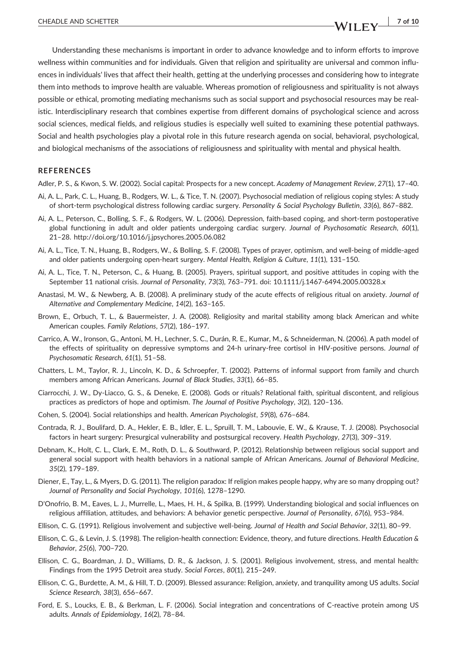Understanding these mechanisms is important in order to advance knowledge and to inform efforts to improve wellness within communities and for individuals. Given that religion and spirituality are universal and common influences in individuals' lives that affect their health, getting at the underlying processes and considering how to integrate them into methods to improve health are valuable. Whereas promotion of religiousness and spirituality is not always possible or ethical, promoting mediating mechanisms such as social support and psychosocial resources may be realistic. Interdisciplinary research that combines expertise from different domains of psychological science and across social sciences, medical fields, and religious studies is especially well suited to examining these potential pathways. Social and health psychologies play a pivotal role in this future research agenda on social, behavioral, psychological, and biological mechanisms of the associations of religiousness and spirituality with mental and physical health.

#### **REFERENCES**

Adler, P. S., & Kwon, S. W. (2002). Social capital: Prospects for a new concept. Academy of Management Review, 27(1), 17–40.

- Ai, A. L., Park, C. L., Huang, B., Rodgers, W. L., & Tice, T. N. (2007). Psychosocial mediation of religious coping styles: A study of short-term psychological distress following cardiac surgery. Personality & Social Psychology Bulletin, 33(6), 867-882.
- Ai, A. L., Peterson, C., Bolling, S. F., & Rodgers, W. L. (2006). Depression, faith‐based coping, and short‐term postoperative global functioning in adult and older patients undergoing cardiac surgery. Journal of Psychosomatic Research, 60(1), 21–28.<http://doi.org/10.1016/j.jpsychores.2005.06.082>
- Ai, A. L., Tice, T. N., Huang, B., Rodgers, W., & Bolling, S. F. (2008). Types of prayer, optimism, and well‐being of middle‐aged and older patients undergoing open-heart surgery. Mental Health, Religion & Culture, 11(1), 131-150.
- Ai, A. L., Tice, T. N., Peterson, C., & Huang, B. (2005). Prayers, spiritual support, and positive attitudes in coping with the September 11 national crisis. Journal of Personality, 73(3), 763–791. doi: [10.1111/j.1467-6494.2005.00328.x](http://doi.org/10.1111/j.1467-6494.2005.00328.x)
- Anastasi, M. W., & Newberg, A. B. (2008). A preliminary study of the acute effects of religious ritual on anxiety. Journal of Alternative and Complementary Medicine, 14(2), 163–165.
- Brown, E., Orbuch, T. L., & Bauermeister, J. A. (2008). Religiosity and marital stability among black American and white American couples. Family Relations, 57(2), 186–197.
- Carrico, A. W., Ironson, G., Antoni, M. H., Lechner, S. C., Durán, R. E., Kumar, M., & Schneiderman, N. (2006). A path model of the effects of spirituality on depressive symptoms and 24-h urinary-free cortisol in HIV-positive persons. Journal of Psychosomatic Research, 61(1), 51–58.
- Chatters, L. M., Taylor, R. J., Lincoln, K. D., & Schroepfer, T. (2002). Patterns of informal support from family and church members among African Americans. Journal of Black Studies, 33(1), 66–85.
- Ciarrocchi, J. W., Dy‐Liacco, G. S., & Deneke, E. (2008). Gods or rituals? Relational faith, spiritual discontent, and religious practices as predictors of hope and optimism. The Journal of Positive Psychology, 3(2), 120–136.
- Cohen, S. (2004). Social relationships and health. American Psychologist, 59(8), 676–684.
- Contrada, R. J., Boulifard, D. A., Hekler, E. B., Idler, E. L., Spruill, T. M., Labouvie, E. W., & Krause, T. J. (2008). Psychosocial factors in heart surgery: Presurgical vulnerability and postsurgical recovery. Health Psychology, 27(3), 309–319.
- Debnam, K., Holt, C. L., Clark, E. M., Roth, D. L., & Southward, P. (2012). Relationship between religious social support and general social support with health behaviors in a national sample of African Americans. Journal of Behavioral Medicine, 35(2), 179–189.
- Diener, E., Tay, L., & Myers, D. G. (2011). The religion paradox: If religion makes people happy, why are so many dropping out? Journal of Personality and Social Psychology, 101(6), 1278–1290.
- D'Onofrio, B. M., Eaves, L. J., Murrelle, L., Maes, H. H., & Spilka, B. (1999). Understanding biological and social influences on religious affiliation, attitudes, and behaviors: A behavior genetic perspective. Journal of Personality, 67(6), 953–984.
- Ellison, C. G. (1991). Religious involvement and subjective well‐being. Journal of Health and Social Behavior, 32(1), 80–99.
- Ellison, C. G., & Levin, J. S. (1998). The religion-health connection: Evidence, theory, and future directions. Health Education & Behavior, 25(6), 700–720.
- Ellison, C. G., Boardman, J. D., Williams, D. R., & Jackson, J. S. (2001). Religious involvement, stress, and mental health: Findings from the 1995 Detroit area study. Social Forces, 80(1), 215–249.
- Ellison, C. G., Burdette, A. M., & Hill, T. D. (2009). Blessed assurance: Religion, anxiety, and tranquility among US adults. Social Science Research, 38(3), 656–667.
- Ford, E. S., Loucks, E. B., & Berkman, L. F. (2006). Social integration and concentrations of C‐reactive protein among US adults. Annals of Epidemiology, 16(2), 78–84.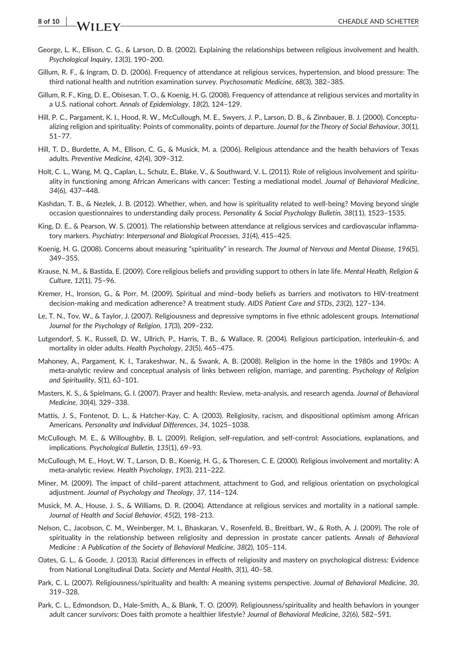### 8 of 10 WII FV CHEADLE AND SCHETTER

- George, L. K., Ellison, C. G., & Larson, D. B. (2002). Explaining the relationships between religious involvement and health. Psychological Inquiry, 13(3), 190–200.
- Gillum, R. F., & Ingram, D. D. (2006). Frequency of attendance at religious services, hypertension, and blood pressure: The third national health and nutrition examination survey. Psychosomatic Medicine, 68(3), 382–385.
- Gillum, R. F., King, D. E., Obisesan, T. O., & Koenig, H. G. (2008). Frequency of attendance at religious services and mortality in a U.S. national cohort. Annals of Epidemiology, 18(2), 124–129.
- Hill, P. C., Pargament, K. I., Hood, R. W., McCullough, M. E., Swyers, J. P., Larson, D. B., & Zinnbauer, B. J. (2000). Conceptualizing religion and spirituality: Points of commonality, points of departure. Journal for the Theory of Social Behaviour, 30(1), 51–77.
- Hill, T. D., Burdette, A. M., Ellison, C. G., & Musick, M. a. (2006). Religious attendance and the health behaviors of Texas adults. Preventive Medicine, 42(4), 309–312.
- Holt, C. L., Wang, M. Q., Caplan, L., Schulz, E., Blake, V., & Southward, V. L. (2011). Role of religious involvement and spirituality in functioning among African Americans with cancer: Testing a mediational model. Journal of Behavioral Medicine, 34(6), 437–448.
- Kashdan, T. B., & Nezlek, J. B. (2012). Whether, when, and how is spirituality related to well‐being? Moving beyond single occasion questionnaires to understanding daily process. Personality & Social Psychology Bulletin, 38(11), 1523–1535.
- King, D. E., & Pearson, W. S. (2001). The relationship between attendance at religious services and cardiovascular inflammatory markers. Psychiatry: Interpersonal and Biological Processes, 31(4), 415–425.
- Koenig, H. G. (2008). Concerns about measuring "spirituality" in research. The Journal of Nervous and Mental Disease, 196(5), 349–355.
- Krause, N. M., & Bastida, E. (2009). Core religious beliefs and providing support to others in late life. Mental Health, Religion & Culture, 12(1), 75–96.
- Kremer, H., Ironson, G., & Porr, M. (2009). Spiritual and mind–body beliefs as barriers and motivators to HIV‐treatment decision-making and medication adherence? A treatment study. AIDS Patient Care and STDs, 23(2), 127-134.
- Le, T. N., Tov, W., & Taylor, J. (2007). Religiousness and depressive symptoms in five ethnic adolescent groups. International Journal for the Psychology of Religion, 17(3), 209–232.
- Lutgendorf, S. K., Russell, D. W., Ullrich, P., Harris, T. B., & Wallace, R. (2004). Religious participation, interleukin‐6, and mortality in older adults. Health Psychology, 23(5), 465–475.
- Mahoney, A., Pargament, K. I., Tarakeshwar, N., & Swank, A. B. (2008). Religion in the home in the 1980s and 1990s: A meta-analytic review and conceptual analysis of links between religion, marriage, and parenting. Psychology of Religion and Spirituality, S(1), 63–101.
- Masters, K. S., & Spielmans, G. I. (2007). Prayer and health: Review, meta-analysis, and research agenda. Journal of Behavioral Medicine, 30(4), 329–338.
- Mattis, J. S., Fontenot, D. L., & Hatcher-Kay, C. A. (2003). Religiosity, racism, and dispositional optimism among African Americans. Personality and Individual Differences, 34, 1025–1038.
- McCullough, M. E., & Willoughby, B. L. (2009). Religion, self‐regulation, and self‐control: Associations, explanations, and implications. Psychological Bulletin, 135(1), 69–93.
- McCullough, M. E., Hoyt, W. T., Larson, D. B., Koenig, H. G., & Thoresen, C. E. (2000). Religious involvement and mortality: A meta‐analytic review. Health Psychology, 19(3), 211–222.
- Miner, M. (2009). The impact of child–parent attachment, attachment to God, and religious orientation on psychological adjustment. Journal of Psychology and Theology, 37, 114–124.
- Musick, M. A., House, J. S., & Williams, D. R. (2004). Attendance at religious services and mortality in a national sample. Journal of Health and Social Behavior, 45(2), 198–213.
- Nelson, C., Jacobson, C. M., Weinberger, M. I., Bhaskaran, V., Rosenfeld, B., Breitbart, W., & Roth, A. J. (2009). The role of spirituality in the relationship between religiosity and depression in prostate cancer patients. Annals of Behavioral Medicine : A Publication of the Society of Behavioral Medicine, 38(2), 105–114.
- Oates, G. L., & Goode, J. (2013). Racial differences in effects of religiosity and mastery on psychological distress: Evidence from National Longitudinal Data. Society and Mental Health, 3(1), 40–58.
- Park, C. L. (2007). Religiousness/spirituality and health: A meaning systems perspective. Journal of Behavioral Medicine, 30, 319–328.
- Park, C. L., Edmondson, D., Hale‐Smith, A., & Blank, T. O. (2009). Religiousness/spirituality and health behaviors in younger adult cancer survivors: Does faith promote a healthier lifestyle? Journal of Behavioral Medicine, 32(6), 582–591.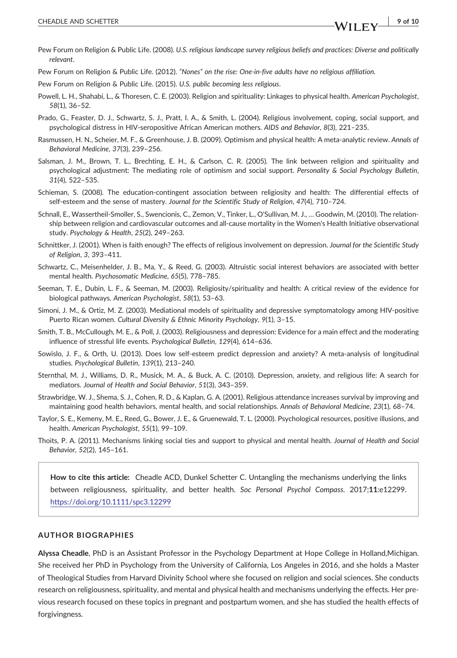Pew Forum on Religion & Public Life. (2012). "Nones" on the rise: One‐in‐five adults have no religious affiliation.

Pew Forum on Religion & Public Life. (2015). U.S. public becoming less religious.

- Powell, L. H., Shahabi, L., & Thoresen, C. E. (2003). Religion and spirituality: Linkages to physical health. American Psychologist, 58(1), 36–52.
- Prado, G., Feaster, D. J., Schwartz, S. J., Pratt, I. A., & Smith, L. (2004). Religious involvement, coping, social support, and psychological distress in HIV-seropositive African American mothers. AIDS and Behavior, 8(3), 221-235.
- Rasmussen, H. N., Scheier, M. F., & Greenhouse, J. B. (2009). Optimism and physical health: A meta-analytic review. Annals of Behavioral Medicine, 37(3), 239–256.
- Salsman, J. M., Brown, T. L., Brechting, E. H., & Carlson, C. R. (2005). The link between religion and spirituality and psychological adjustment: The mediating role of optimism and social support. Personality & Social Psychology Bulletin, 31(4), 522–535.
- Schieman, S. (2008). The education‐contingent association between religiosity and health: The differential effects of self-esteem and the sense of mastery. Journal for the Scientific Study of Religion, 47(4), 710-724.
- Schnall, E., Wassertheil‐Smoller, S., Swencionis, C., Zemon, V., Tinker, L., O'Sullivan, M. J., … Goodwin, M. (2010). The relationship between religion and cardiovascular outcomes and all‐cause mortality in the Women's Health Initiative observational study. Psychology & Health, 25(2), 249–263.
- Schnittker, J. (2001). When is faith enough? The effects of religious involvement on depression. Journal for the Scientific Study of Religion, 3, 393–411.
- Schwartz, C., Meisenhelder, J. B., Ma, Y., & Reed, G. (2003). Altruistic social interest behaviors are associated with better mental health. Psychosomatic Medicine, 65(5), 778–785.
- Seeman, T. E., Dubin, L. F., & Seeman, M. (2003). Religiosity/spirituality and health: A critical review of the evidence for biological pathways. American Psychologist, 58(1), 53–63.
- Simoni, J. M., & Ortiz, M. Z. (2003). Mediational models of spirituality and depressive symptomatology among HIV‐positive Puerto Rican women. Cultural Diversity & Ethnic Minority Psychology, 9(1), 3–15.
- Smith, T. B., McCullough, M. E., & Poll, J. (2003). Religiousness and depression: Evidence for a main effect and the moderating influence of stressful life events. Psychological Bulletin, 129(4), 614–636.
- Sowislo, J. F., & Orth, U. (2013). Does low self‐esteem predict depression and anxiety? A meta‐analysis of longitudinal studies. Psychological Bulletin, 139(1), 213–240.
- Sternthal, M. J., Williams, D. R., Musick, M. A., & Buck, A. C. (2010). Depression, anxiety, and religious life: A search for mediators. Journal of Health and Social Behavior, 51(3), 343–359.
- Strawbridge, W. J., Shema, S. J., Cohen, R. D., & Kaplan, G. A. (2001). Religious attendance increases survival by improving and maintaining good health behaviors, mental health, and social relationships. Annals of Behavioral Medicine, 23(1), 68–74.
- Taylor, S. E., Kemeny, M. E., Reed, G., Bower, J. E., & Gruenewald, T. L. (2000). Psychological resources, positive illusions, and health. American Psychologist, 55(1), 99–109.
- Thoits, P. A. (2011). Mechanisms linking social ties and support to physical and mental health. Journal of Health and Social Behavior, 52(2), 145–161.

How to cite this article: Cheadle ACD, Dunkel Schetter C. Untangling the mechanisms underlying the links between religiousness, spirituality, and better health. Soc Personal Psychol Compass. 2017;11:e12299. <https://doi.org/10.1111/spc3.12299>

#### AUTHOR BIOGRAPHIES

Alyssa Cheadle, PhD is an Assistant Professor in the Psychology Department at Hope College in Holland,Michigan. She received her PhD in Psychology from the University of California, Los Angeles in 2016, and she holds a Master of Theological Studies from Harvard Divinity School where she focused on religion and social sciences. She conducts research on religiousness, spirituality, and mental and physical health and mechanisms underlying the effects. Her previous research focused on these topics in pregnant and postpartum women, and she has studied the health effects of forgivingness.